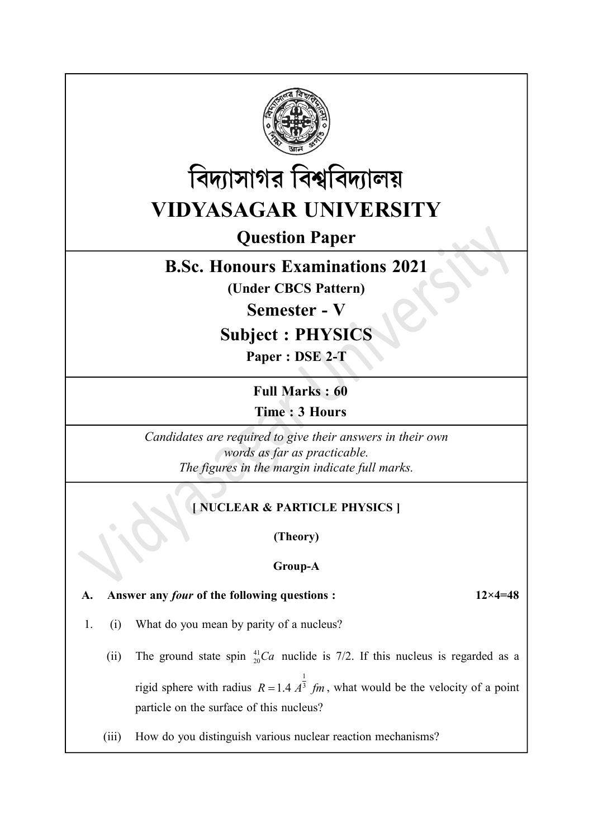



# Question Paper

## B.Sc. Honours Examinations 2021

(Under CBCS Pattern)

Semester - V

Subject : PHYSIC

Paper : DSE 2-T

Full Marks : 60 Time : 3 Hours

Candidates are required to give their answers in their own words as far as practicable. The figures in the margin indicate full marks.

### [ NUCLEAR & PARTICLE PHYSICS ]

(Theory)

### Group-A

A. Answer any *four* of the following questions : 12×4=48

- 1. (i) What do you mean by parity of a nucleus?
	- (ii) The ground state spin  ${}^{41}_{20}Ca$  nuclide is 7/2. If this nucleus is regarded as a rigid sphere with radius  $R = 1.4 A^{\frac{1}{3}}$  fm, what would be the velocity of a point particle on the surface of this nucleus?
	- (iii) How do you distinguish various nuclear reaction mechanisms?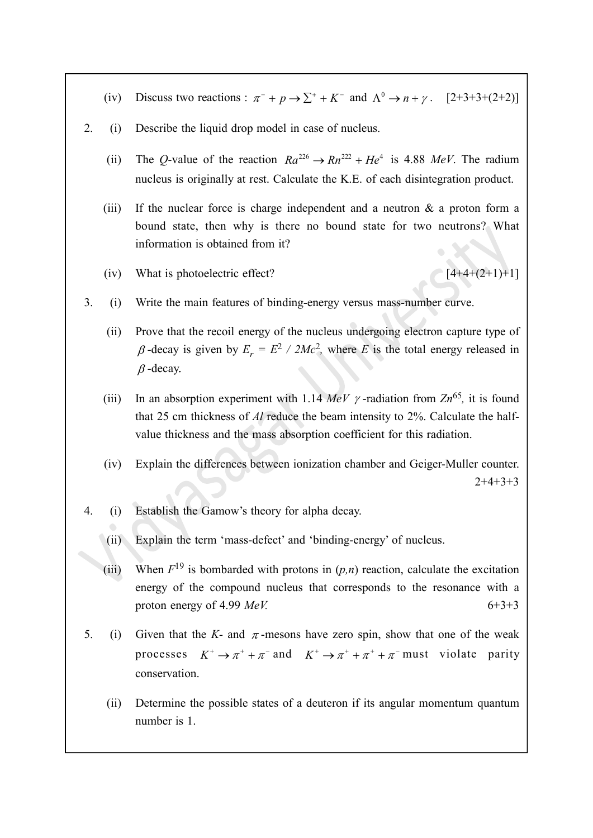- (iv) Discuss two reactions :  $\pi^- + p \rightarrow \sum^+ + K^-$  and  $\Lambda^0 \rightarrow n + \gamma$ . [2+3+3+(2+2)]
- 2. (i) Describe the liquid drop model in case of nucleus.
	- (ii) The Q-value of the reaction  $Ra^{226} \rightarrow Rn^{222} + He^{4}$  is 4.88 MeV. The radium nucleus is originally at rest. Calculate the K.E. of each disintegration product.
	- (iii) If the nuclear force is charge independent and a neutron  $\&$  a proton form a bound state, then why is there no bound state for two neutrons? What information is obtained from it?
	- (iv) What is photoelectric effect?  $[4+4+(2+1)+1]$

- 3. (i) Write the main features of binding-energy versus mass-number curve.
	- (ii) Prove that the recoil energy of the nucleus undergoing electron capture type of  $\beta$ -decay is given by  $E_r = E^2 / 2Mc^2$ , where E is the total energy released in  $\beta$ -decay.
	- (iii) In an absorption experiment with 1.14 MeV  $\gamma$ -radiation from  $Zn^{65}$ , it is found that 25 cm thickness of Al reduce the beam intensity to 2%. Calculate the halfvalue thickness and the mass absorption coefficient for this radiation.
	- (iv) Explain the differences between ionization chamber and Geiger-Muller counter. 2+4+3+3
- 4. (i) Establish the Gamow's theory for alpha decay.
	- (ii) Explain the term 'mass-defect' and 'binding-energy' of nucleus.
	- (iii) When  $F^{19}$  is bombarded with protons in  $(p,n)$  reaction, calculate the excitation energy of the compound nucleus that corresponds to the resonance with a proton energy of 4.99  $MeV$ . 6+3+3
- 5. (i) Given that the K- and  $\pi$ -mesons have zero spin, show that one of the weak processes  $K^+ \to \pi^+ + \pi^-$  and  $K^+ \to \pi^+ + \pi^+ + \pi^-$  must violate parity conservation.
	- (ii) Determine the possible states of a deuteron if its angular momentum quantum number is 1.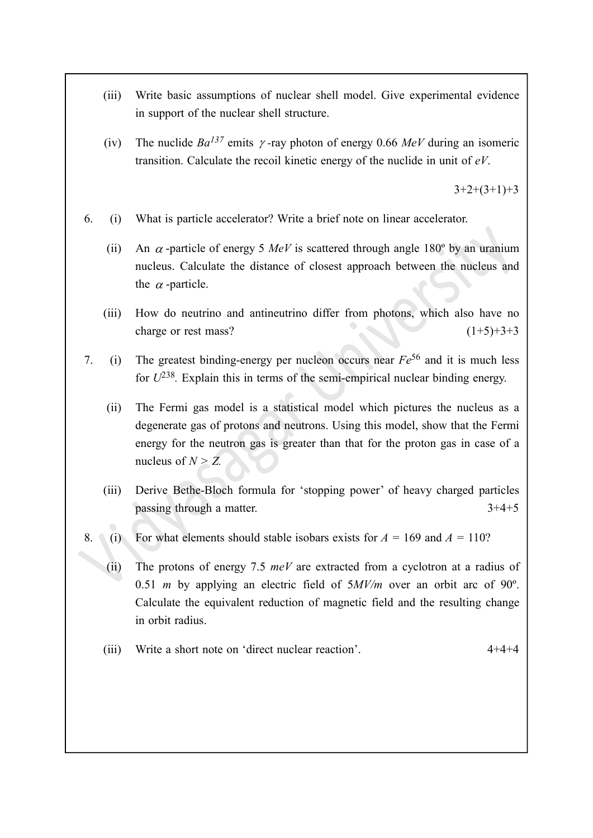- (iii) Write basic assumptions of nuclear shell model. Give experimental evidence in support of the nuclear shell structure.
- (iv) The nuclide  $Ba^{137}$  emits  $\gamma$ -ray photon of energy 0.66 MeV during an isomeric transition. Calculate the recoil kinetic energy of the nuclide in unit of eV.

 $3+2+(3+1)+3$ 

- 6. (i) What is particle accelerator? Write a brief note on linear accelerator.
	- (ii) An  $\alpha$ -particle of energy 5 MeV is scattered through angle 180<sup>°</sup> by an uranium nucleus. Calculate the distance of closest approach between the nucleus and the  $\alpha$ -particle.
	- (iii) How do neutrino and antineutrino differ from photons, which also have no charge or rest mass?  $(1+5)+3+3$
- 7. (i) The greatest binding-energy per nucleon occurs near  $Fe^{56}$  and it is much less for  $U^{238}$ . Explain this in terms of the semi-empirical nuclear binding energy.
	- (ii) The Fermi gas model is a statistical model which pictures the nucleus as a degenerate gas of protons and neutrons. Using this model, show that the Fermi energy for the neutron gas is greater than that for the proton gas in case of a nucleus of  $N > Z$ .
	- (iii) Derive Bethe-Bloch formula for 'stopping power' of heavy charged particles passing through a matter.  $3+4+5$
- 8. (i) For what elements should stable isobars exists for  $A = 169$  and  $A = 110$ ?
	- (ii) The protons of energy 7.5  $meV$  are extracted from a cyclotron at a radius of 0.51 *m* by applying an electric field of  $5MV/m$  over an orbit arc of 90 $^{\circ}$ . Calculate the equivalent reduction of magnetic field and the resulting change in orbit radius.
	- (iii) Write a short note on 'direct nuclear reaction'. 4+4+4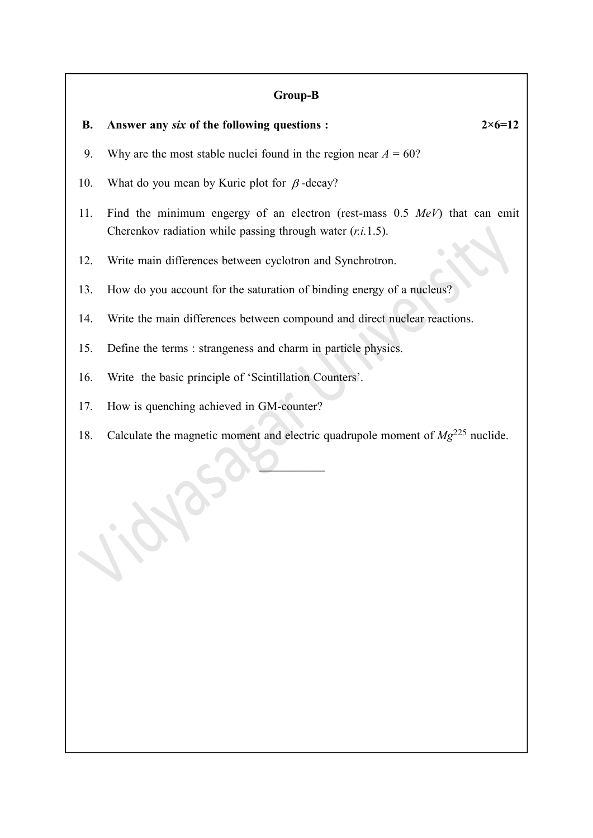### Group-B

| GL00h-D   |                                                                                                                                              |  |  |  |
|-----------|----------------------------------------------------------------------------------------------------------------------------------------------|--|--|--|
| <b>B.</b> | $2 \times 6 = 12$<br>Answer any six of the following questions :                                                                             |  |  |  |
| 9.        | Why are the most stable nuclei found in the region near $A = 60$ ?                                                                           |  |  |  |
| 10.       | What do you mean by Kurie plot for $\beta$ -decay?                                                                                           |  |  |  |
| 11.       | Find the minimum engergy of an electron (rest-mass $0.5$ MeV) that can emit<br>Cherenkov radiation while passing through water $(r.i.1.5)$ . |  |  |  |
| 12.       | Write main differences between cyclotron and Synchrotron.                                                                                    |  |  |  |
| 13.       | How do you account for the saturation of binding energy of a nucleus?                                                                        |  |  |  |
| 14.       | Write the main differences between compound and direct nuclear reactions.                                                                    |  |  |  |
| 15.       | Define the terms : strangeness and charm in particle physics.                                                                                |  |  |  |
| 16.       | Write the basic principle of 'Scintillation Counters'.                                                                                       |  |  |  |
| 17.       | How is quenching achieved in GM-counter?                                                                                                     |  |  |  |
| 18.       | Calculate the magnetic moment and electric quadrupole moment of $Mg^{225}$ nuclide.                                                          |  |  |  |
|           |                                                                                                                                              |  |  |  |

ic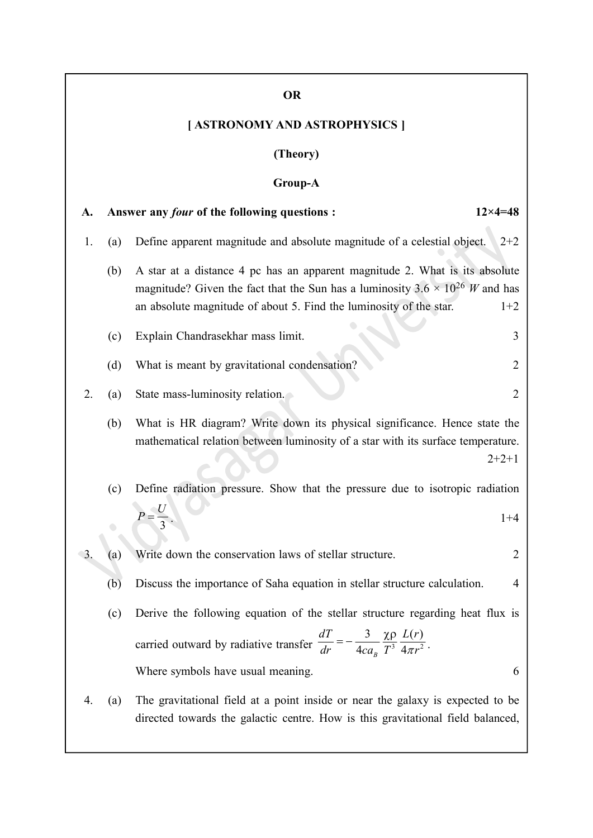### OR

## [ ASTRONOMY AND ASTROPHYSICS ]

### (Theory)

## Group-A

| A. |     | $12 \times 4 = 48$<br>Answer any <i>four</i> of the following questions :                                                                                                                                                                            |
|----|-----|------------------------------------------------------------------------------------------------------------------------------------------------------------------------------------------------------------------------------------------------------|
| 1. | (a) | Define apparent magnitude and absolute magnitude of a celestial object.<br>$2 + 2$                                                                                                                                                                   |
|    | (b) | A star at a distance 4 pc has an apparent magnitude 2. What is its absolute<br>magnitude? Given the fact that the Sun has a luminosity $3.6 \times 10^{26}$ W and has<br>an absolute magnitude of about 5. Find the luminosity of the star.<br>$1+2$ |
|    | (c) | Explain Chandrasekhar mass limit.<br>3                                                                                                                                                                                                               |
|    | (d) | What is meant by gravitational condensation?<br>2                                                                                                                                                                                                    |
| 2. | (a) | State mass-luminosity relation.<br>$\overline{2}$                                                                                                                                                                                                    |
|    | (b) | What is HR diagram? Write down its physical significance. Hence state the<br>mathematical relation between luminosity of a star with its surface temperature.<br>$2+2+1$                                                                             |
|    | (c) | Define radiation pressure. Show that the pressure due to isotropic radiation                                                                                                                                                                         |
|    |     | $P=\frac{U}{3}$ .<br>$1 + 4$                                                                                                                                                                                                                         |
| 3. | (a) | Write down the conservation laws of stellar structure.<br>2                                                                                                                                                                                          |
|    | (b) | Discuss the importance of Saha equation in stellar structure calculation.<br>4                                                                                                                                                                       |
|    | (c) | Derive the following equation of the stellar structure regarding heat flux is                                                                                                                                                                        |
|    |     | carried outward by radiative transfer $\frac{dT}{dr} = -\frac{3}{4ca_0} \frac{\chi \rho}{T^3} \frac{L(r)}{4\pi r^2}$<br>$\overline{4ca_{B}}$ $\overline{T^{3}}$ $\overline{4\pi r^{2}}$ .<br>dr                                                      |
|    |     | Where symbols have usual meaning.<br>6                                                                                                                                                                                                               |
| 4. | (a) | The gravitational field at a point inside or near the galaxy is expected to be<br>directed towards the galactic centre. How is this gravitational field balanced,                                                                                    |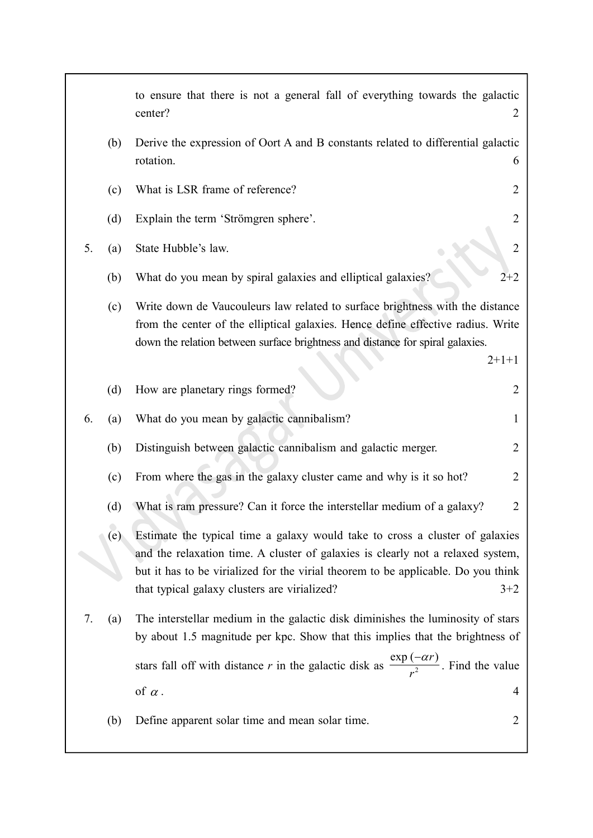|    |                   | to ensure that there is not a general fall of everything towards the galactic<br>center?<br>2                                                                                                                                                                                                                 |
|----|-------------------|---------------------------------------------------------------------------------------------------------------------------------------------------------------------------------------------------------------------------------------------------------------------------------------------------------------|
|    | (b)               | Derive the expression of Oort A and B constants related to differential galactic<br>rotation.<br>6                                                                                                                                                                                                            |
|    | (c)               | What is LSR frame of reference?<br>2                                                                                                                                                                                                                                                                          |
|    | (d)               | $\overline{2}$<br>Explain the term 'Strömgren sphere'.                                                                                                                                                                                                                                                        |
| 5. | (a)               | State Hubble's law.<br>2                                                                                                                                                                                                                                                                                      |
|    | (b)               | What do you mean by spiral galaxies and elliptical galaxies?<br>$2 + 2$                                                                                                                                                                                                                                       |
|    | (c)               | Write down de Vaucouleurs law related to surface brightness with the distance<br>from the center of the elliptical galaxies. Hence define effective radius. Write<br>down the relation between surface brightness and distance for spiral galaxies.<br>$2+1+1$                                                |
|    | (d)               | How are planetary rings formed?<br>2                                                                                                                                                                                                                                                                          |
| 6. | (a)               | What do you mean by galactic cannibalism?<br>1                                                                                                                                                                                                                                                                |
|    | (b)               | Distinguish between galactic cannibalism and galactic merger.<br>2                                                                                                                                                                                                                                            |
|    | (c)               | From where the gas in the galaxy cluster came and why is it so hot?<br>2                                                                                                                                                                                                                                      |
|    | (d)               | What is ram pressure? Can it force the interstellar medium of a galaxy?<br>2                                                                                                                                                                                                                                  |
|    | (e)               | Estimate the typical time a galaxy would take to cross a cluster of galaxies<br>and the relaxation time. A cluster of galaxies is clearly not a relaxed system,<br>but it has to be virialized for the virial theorem to be applicable. Do you think<br>that typical galaxy clusters are virialized?<br>$3+2$ |
| 7. | $\left( a\right)$ | The interstellar medium in the galactic disk diminishes the luminosity of stars<br>by about 1.5 magnitude per kpc. Show that this implies that the brightness of                                                                                                                                              |
|    |                   | stars fall off with distance r in the galactic disk as $\frac{\exp(-\alpha r)}{r^2}$ . Find the value                                                                                                                                                                                                         |
|    |                   | of $\alpha$ .<br>4                                                                                                                                                                                                                                                                                            |
|    | (b)               | $\overline{2}$<br>Define apparent solar time and mean solar time.                                                                                                                                                                                                                                             |

Г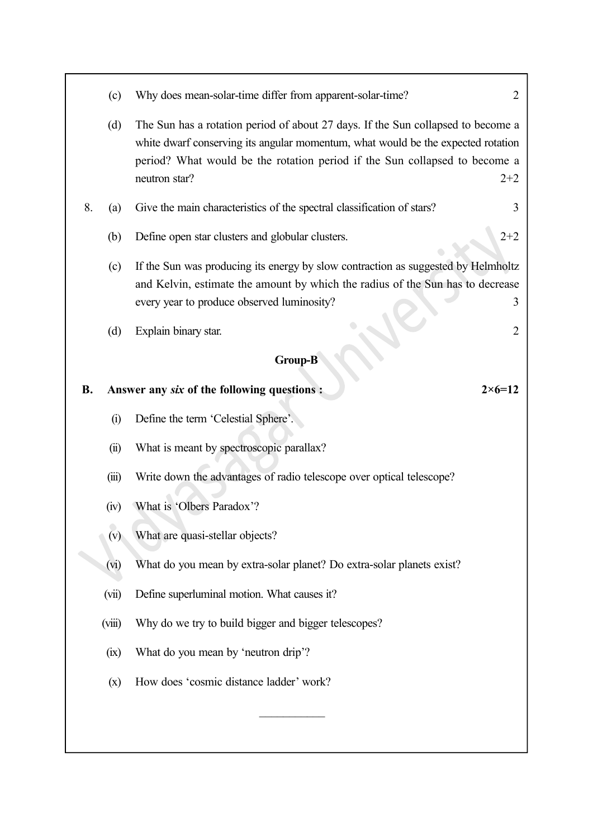(c) Why does mean-solar-time differ from apparent-solar-time? 2 (d) The Sun has a rotation period of about 27 days. If the Sun collapsed to become a white dwarf conserving its angular momentum, what would be the expected rotation period? What would be the rotation period if the Sun collapsed to become a neutron star? 2+2 8. (a) Give the main characteristics of the spectral classification of stars? 3 (b) Define open star clusters and globular clusters. 2+2 (c) If the Sun was producing its energy by slow contraction as suggested by Helmholtz and Kelvin, estimate the amount by which the radius of the Sun has to decrease every year to produce observed luminosity? 3 (d) Explain binary star. 2 Group-B B. Answer any six of the following questions :  $2 \times 6 = 12$ (i) Define the term 'Celestial Sphere'. (ii) What is meant by spectroscopic parallax? (iii) Write down the advantages of radio telescope over optical telescope? (iv) What is 'Olbers Paradox'? (v) What are quasi-stellar objects? (vi) What do you mean by extra-solar planet? Do extra-solar planets exist? (vii) Define superluminal motion. What causes it? (viii) Why do we try to build bigger and bigger telescopes? (ix) What do you mean by 'neutron drip'? (x) How does 'cosmic distance ladder' work?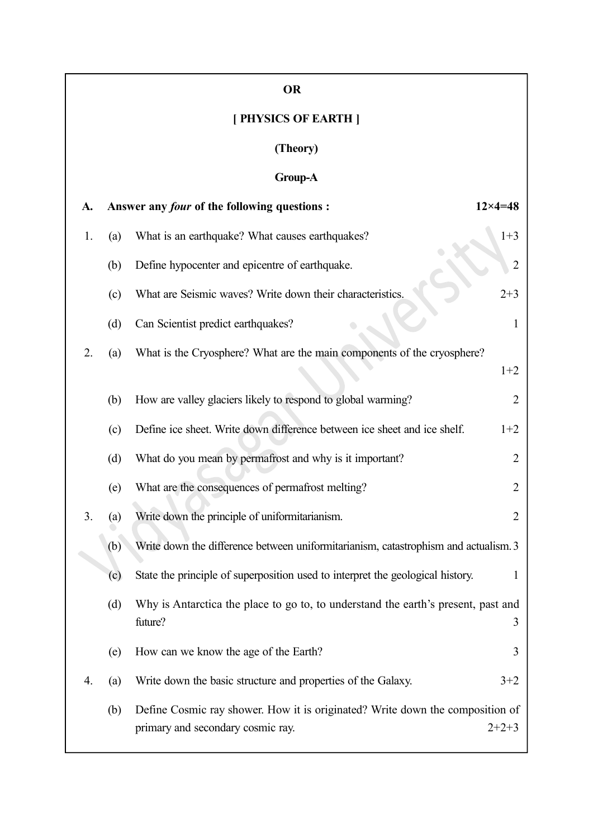|    |          | <b>OR</b>                                                                                                          |                    |  |  |  |  |  |  |
|----|----------|--------------------------------------------------------------------------------------------------------------------|--------------------|--|--|--|--|--|--|
|    |          | [ PHYSICS OF EARTH ]                                                                                               |                    |  |  |  |  |  |  |
|    | (Theory) |                                                                                                                    |                    |  |  |  |  |  |  |
|    |          | <b>Group-A</b>                                                                                                     |                    |  |  |  |  |  |  |
| A. |          | Answer any <i>four</i> of the following questions :                                                                | $12 \times 4 = 48$ |  |  |  |  |  |  |
| 1. | (a)      | What is an earthquake? What causes earthquakes?                                                                    | $1 + 3$            |  |  |  |  |  |  |
|    | (b)      | Define hypocenter and epicentre of earthquake.                                                                     | $\overline{2}$     |  |  |  |  |  |  |
|    | (c)      | What are Seismic waves? Write down their characteristics.                                                          | $2 + 3$            |  |  |  |  |  |  |
|    | (d)      | Can Scientist predict earthquakes?                                                                                 | $\mathbf{1}$       |  |  |  |  |  |  |
| 2. | (a)      | What is the Cryosphere? What are the main components of the cryosphere?                                            |                    |  |  |  |  |  |  |
|    |          |                                                                                                                    | $1+2$              |  |  |  |  |  |  |
|    | (b)      | How are valley glaciers likely to respond to global warming?                                                       | $\overline{2}$     |  |  |  |  |  |  |
|    | (c)      | Define ice sheet. Write down difference between ice sheet and ice shelf.                                           | $1+2$              |  |  |  |  |  |  |
|    | (d)      | What do you mean by permafrost and why is it important?                                                            | $\overline{2}$     |  |  |  |  |  |  |
|    | (e)      | What are the consequences of permafrost melting?                                                                   | $\overline{2}$     |  |  |  |  |  |  |
| 3. | (a)      | Write down the principle of uniformitarianism.                                                                     | 2                  |  |  |  |  |  |  |
|    | (b)      | Write down the difference between uniformitarianism, catastrophism and actualism. 3                                |                    |  |  |  |  |  |  |
|    | (c)      | State the principle of superposition used to interpret the geological history.                                     | 1                  |  |  |  |  |  |  |
|    | (d)      | Why is Antarctica the place to go to, to understand the earth's present, past and<br>future?                       | 3                  |  |  |  |  |  |  |
|    | (e)      | How can we know the age of the Earth?                                                                              | 3                  |  |  |  |  |  |  |
| 4. | (a)      | Write down the basic structure and properties of the Galaxy.                                                       | $3 + 2$            |  |  |  |  |  |  |
|    | (b)      | Define Cosmic ray shower. How it is originated? Write down the composition of<br>primary and secondary cosmic ray. | $2+2+3$            |  |  |  |  |  |  |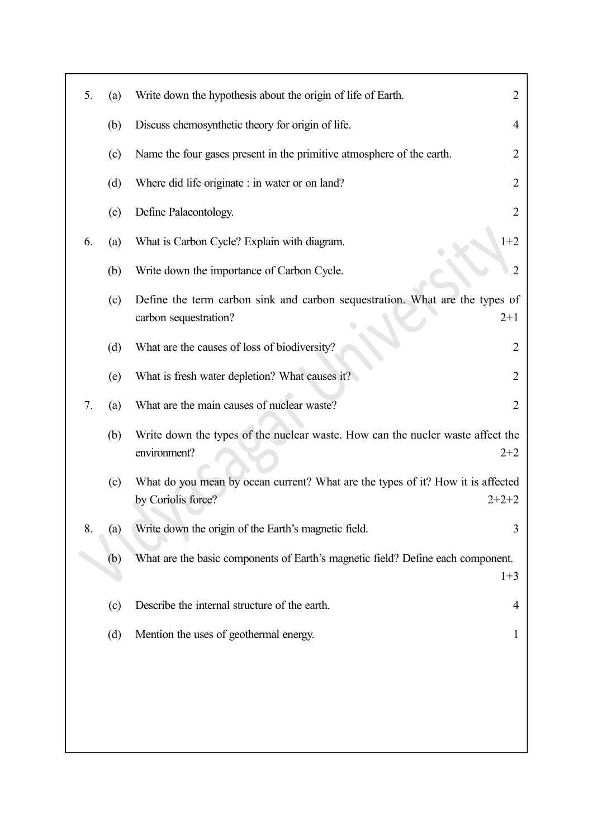| 5. | (a) | Write down the hypothesis about the origin of life of Earth.                                                     | 2              |
|----|-----|------------------------------------------------------------------------------------------------------------------|----------------|
|    | (b) | Discuss chemosynthetic theory for origin of life.                                                                | 4              |
|    | (c) | Name the four gases present in the primitive atmosphere of the earth.                                            | 2              |
|    | (d) | Where did life originate : in water or on land?                                                                  | 2              |
|    | (e) | Define Palaeontology.                                                                                            | 2              |
| 6. | (a) | $1+2$<br>What is Carbon Cycle? Explain with diagram.                                                             |                |
|    | (b) | Write down the importance of Carbon Cycle.                                                                       | $\overline{2}$ |
|    | (c) | Define the term carbon sink and carbon sequestration. What are the types of<br>carbon sequestration?<br>$2+1$    |                |
|    | (d) | What are the causes of loss of biodiversity?                                                                     | 2              |
|    | (e) | What is fresh water depletion? What causes it?                                                                   | 2              |
| 7. | (a) | What are the main causes of nuclear waste?                                                                       | 2              |
|    | (b) | Write down the types of the nuclear waste. How can the nucler waste affect the<br>environment?<br>$2+2$          |                |
|    | (c) | What do you mean by ocean current? What are the types of it? How it is affected<br>by Coriolis force?<br>$2+2+2$ |                |
| 8. | (a) | Write down the origin of the Earth's magnetic field.                                                             | 3              |
|    | (b) | What are the basic components of Earth's magnetic field? Define each component.<br>$1 + 3$                       |                |
|    | (c) | Describe the internal structure of the earth.                                                                    | 4              |
|    | (d) | Mention the uses of geothermal energy.                                                                           | 1              |
|    |     |                                                                                                                  |                |
|    |     |                                                                                                                  |                |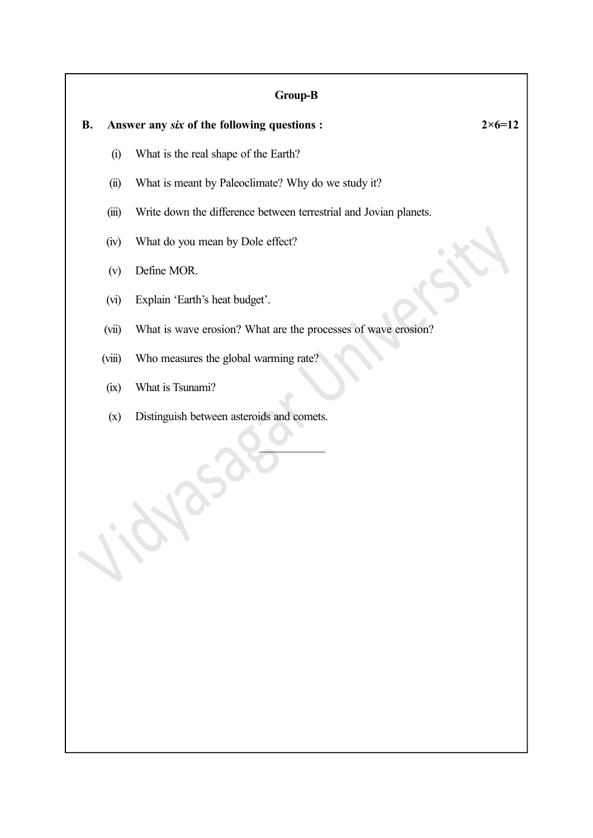### Group-B

- (i) What is the real shape of the Earth?
- (ii) What is meant by Paleoclimate? Why do we study it?
- (iii) Write down the difference between terrestrial and Jovian planets.
- (iv) What do you mean by Dole effect?
- (v) Define MOR.
- (vi) Explain 'Earth's heat budget'.
- (vii) What is wave erosion? What are the processes of wave erosion?

 $\overline{\phantom{a}}$ 

- (viii) Who measures the global warming rate?
- (ix) What is Tsunami?
- (x) Distinguish between asteroids and comets.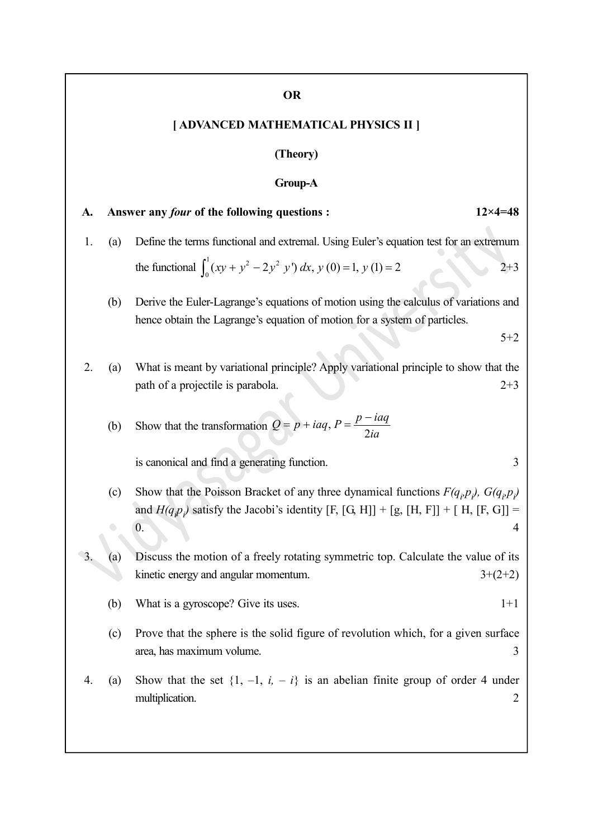#### OR

#### [ ADVANCED MATHEMATICAL PHYSICS II ]

#### (Theory)

#### Group-A

# A. Answer any *four* of the following questions : 12×4=48 1. (a) Define the terms functional and extremal. Using Euler's equation test for an extremum the functional  $\int_a^1 (xy + y^2 - 2y^2)$  $\int_0^1 (xy + y^2 - 2y^2 y') dx$ ,  $y(0) = 1$ ,  $y(1) = 2$  2+3 (b) Derive the Euler-Lagrange's equations of motion using the calculus of variations and hence obtain the Lagrange's equation of motion for a system of particles. 5+2 2. (a) What is meant by variational principle? Apply variational principle to show that the path of a projectile is parabola. 2+3 (b) Show that the transformation  $Q = p + i aq$ ,  $P = \frac{p - 1}{2i}$  $Q = p + i aq$ ,  $P = \frac{p - i aq}{2i}$ ia  $= p + i aq, P = \frac{p - 1}{2}$

is canonical and find a generating function. 3

- (c) Show that the Poisson Bracket of any three dynamical functions  $F(q_i p_j)$ ,  $G(q_i p_j)$ and  $H(q_p p)$  satisfy the Jacobi's identity [F, [G, H]] + [g, [H, F]] + [H, [F, G]] =  $\begin{array}{|c|c|c|c|c|}\n\hline\n0. & & 4 \\
\hline\n\end{array}$
- 3. (a) Discuss the motion of a freely rotating symmetric top. Calculate the value of its kinetic energy and angular momentum.  $3+(2+2)$ 
	- (b) What is a gyroscope? Give its uses.  $1+1$
	- (c) Prove that the sphere is the solid figure of revolution which, for a given surface area, has maximum volume. 3
- 4. (a) Show that the set  $\{1, -1, i, -i\}$  is an abelian finite group of order 4 under multiplication. 2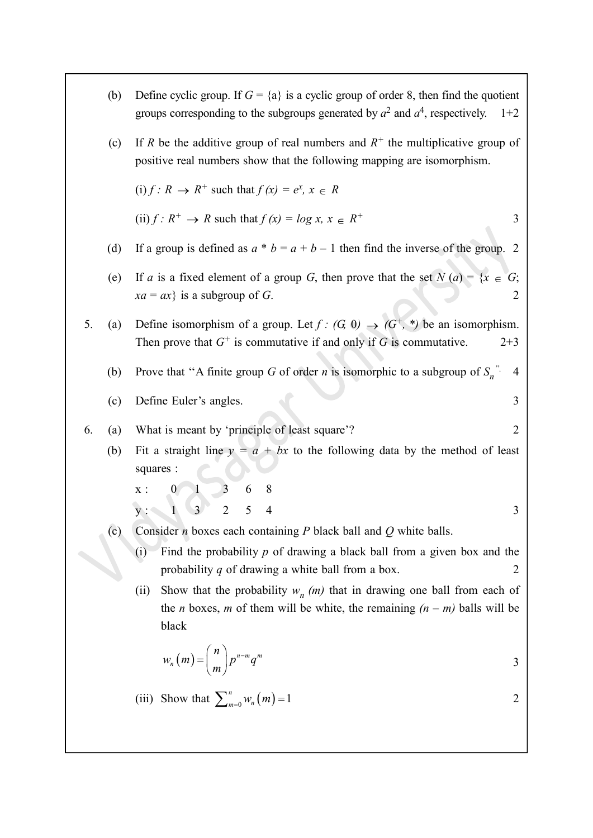(b) Define cyclic group. If  $G = \{a\}$  is a cyclic group of order 8, then find the quotient groups corresponding to the subgroups generated by  $a^2$  and  $a^4$ , respectively. 1+2 (c) If R be the additive group of real numbers and  $R^+$  the multiplicative group of positive real numbers show that the following mapping are isomorphism. (i)  $f: R \to R^+$  such that  $f(x) = e^x$ ,  $x \in R$ (ii)  $f: R^+ \to R$  such that  $f(x) = \log x$ ,  $x \in R^+$  3 (d) If a group is defined as  $a * b = a + b - 1$  then find the inverse of the group. 2 (e) If a is a fixed element of a group G, then prove that the set  $N(a) = \{x \in G;$  $xa = ax$ } is a subgroup of G. 5. (a) Define isomorphism of a group. Let  $f : (G, 0) \rightarrow (G^+, *)$  be an isomorphism. Then prove that  $G^+$  is commutative if and only if G is commutative.  $2+3$ (b) Prove that "A finite group G of order *n* is isomorphic to a subgroup of  $S_n$ ". 4 (c) Define Euler's angles. 3 6. (a) What is meant by 'principle of least square'? 2 (b) Fit a straight line  $y = a + bx$  to the following data by the method of least squares :  $x: 0 \t 1 \t 3 \t 6 \t 8$  $y: 1 \t3$  2 5 4 3 3 (c) Consider *n* boxes each containing *P* black ball and *Q* white balls. (i) Find the probability p of drawing a black ball from a given box and the probability q of drawing a white ball from a box. 2 (ii) Show that the probability  $w_n$  (*m*) that in drawing one ball from each of the *n* boxes, *m* of them will be white, the remaining  $(n - m)$  balls will be black Euler's angles.<br>  $\begin{array}{ll}\n\text{if } \mathbf{z} \text{ is the function of } \mathbf{z} \text{ is the function of } \mathbf{z} \text{ is the function of } \mathbf{z} \text{ is the function of } \mathbf{z} \text{ is the function of } \mathbf{z} \text{ is the function of } \mathbf{z} \text{ is the function of } \mathbf{z} \text{ is the function of } \mathbf{z} \text{ is the function of } \mathbf{z} \text{ is the function of } \mathbf{z} \text{ is the function of } \mathbf{z} \text{ is the function of } \mathbf{z} \text{ is the function of } \mathbf{z} \text$  $=\left(\begin{array}{c} n \\ m \end{array}\right)p^{n-m}q^m$ n  $w_n(m) = \binom{n}{m} p^{n-m} q^m$ m 3 Fit a straight line  $y = a + bx$  to the following data by the method of least<br>squares :<br> $x : 0 \t 1 \t 3 \t 6 \t 8$ <br> $y : 1 \t 3 \t 2 \t 5 \t 4$ <br>Consider *n* boxes each containing *P* black ball and *Q* white balls.<br>(i) Find the probabil  $\sum_{m=0}^{n} w_n(m) = 1$  2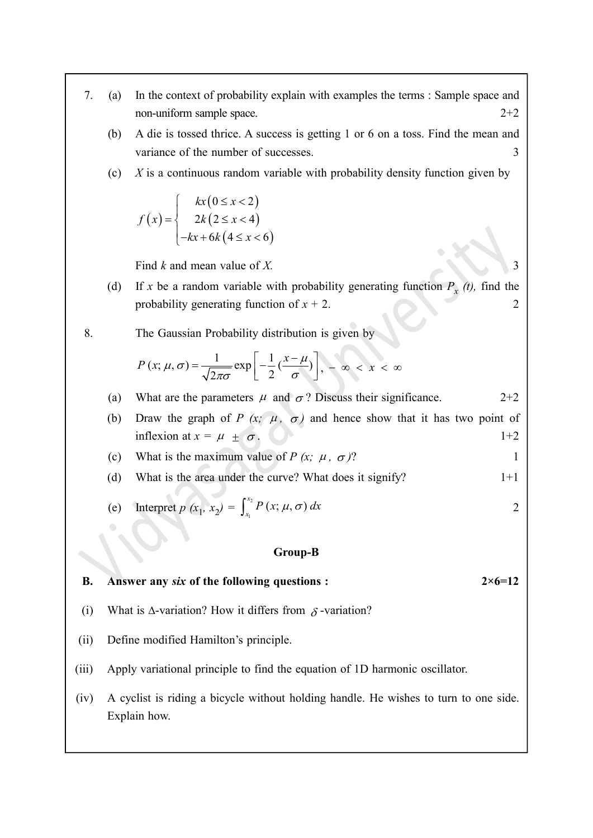- 7. (a) In the context of probability explain with examples the terms : Sample space and non-uniform sample space. 2+2 the context of probability explain with examples the terms : Sample sp<br>n-uniform sample space.<br>die is tossed thrice. A success is getting 1 or 6 on a toss. Find the me<br>riance of the number of successes.<br>is a continuous ra of probability explain with examples the terms : Sample space and<br>
mple space.<br>
thrice. A success is getting 1 or 6 on a toss. Find the mean and<br>
number of successes.<br>
as random variable with probability density function robability explain with examples the terms : Sample space and<br>
e space.<br>
rice. A success is getting 1 or 6 on a toss. Find the mean and<br>
mber of successes.<br>
random variable with probability density function given by<br>  $\le x$ 
	- (b) A die is tossed thrice. A success is getting 1 or 6 on a toss. Find the mean and variance of the number of successes. 3
	- (c)  $X$  is a continuous random variable with probability density function given by

$$
f(x) = \begin{cases} kx(0 \le x < 2) \\ 2k(2 \le x < 4) \\ -kx + 6k(4 \le x < 6) \end{cases}
$$

Find k and mean value of X.  $\frac{3}{2}$ 

- (d) If x be a random variable with probability generating function  $P_x(t)$ , find the probability generating function of  $x + 2$ . 2
- 8. The Gaussian Probability distribution is given by

$$
P(x; \mu, \sigma) = \frac{1}{\sqrt{2\pi\sigma}} \exp\left[-\frac{1}{2} \left(\frac{x-\mu}{\sigma}\right)\right], -\infty < x < \infty
$$

(a) What are the parameters  $\mu$  and  $\sigma$ ? Discuss their significance. 2+2

- (b) Draw the graph of P  $(x; \mu, \sigma)$  and hence show that it has two point of inflexion at  $x = \mu + \sigma$ .  $1+2$
- (c) What is the maximum value of  $P(x; \mu, \sigma)$ ? 1
- (d) What is the area under the curve? What does it signify?  $1+1$

(e) Interpret 
$$
p(x_1, x_2) = \int_{x_1}^{x_2} P(x; \mu, \sigma) dx
$$
 2

#### Group-B

B. Answer any six of the following questions :  $2 \times 6 = 12$ 

- (i) What is  $\Delta$ -variation? How it differs from  $\delta$ -variation?
- (ii) Define modified Hamilton's principle.
- (iii) Apply variational principle to find the equation of 1D harmonic oscillator.
- (iv) A cyclist is riding a bicycle without holding handle. He wishes to turn to one side. Explain how.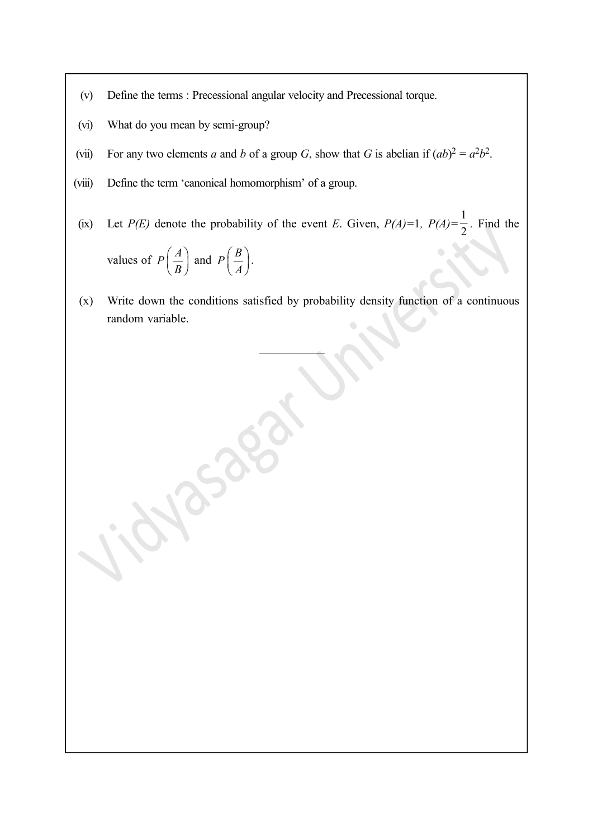- (v) Define the terms : Precessional angular velocity and Precessional torque.
- (vi) What do you mean by semi-group?
- (vii) For any two elements a and b of a group G, show that G is abelian if  $(ab)^2 = a^2b^2$ .
- (viii) Define the term 'canonical homomorphism' of a group.
- (ix) Let  $P(E)$  denote the probability of the event E. Given,  $P(A)=1$ ,  $P(A)=\frac{1}{2}$  $\frac{1}{2}$ . Find the values of  $P\left(\frac{A}{R}\right)$  $\left(\frac{A}{B}\right)$  and  $P\left(\frac{B}{A}\right)$ P  $\left(\frac{B}{A}\right).$
- (x) Write down the conditions satisfied by probability density function of a continuous random variable.

 $\mathcal{L}$